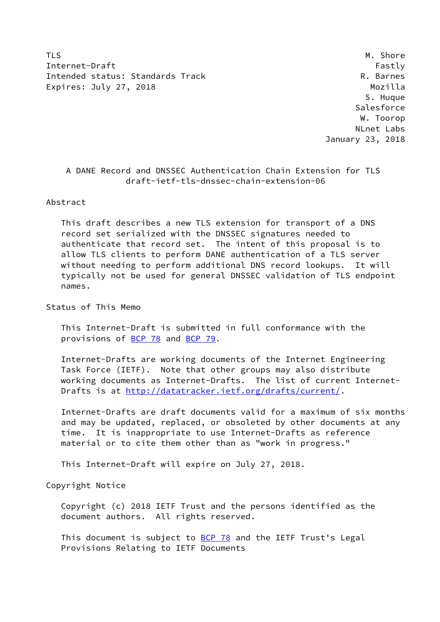TLS M. Shore Internet-Draft Fastly Fastly Intended status: Standards Track R. Barnes Expires: July 27, 2018 Mozilla

 S. Huque **Salesforce**  W. Toorop NLnet Labs January 23, 2018

# A DANE Record and DNSSEC Authentication Chain Extension for TLS draft-ietf-tls-dnssec-chain-extension-06

Abstract

 This draft describes a new TLS extension for transport of a DNS record set serialized with the DNSSEC signatures needed to authenticate that record set. The intent of this proposal is to allow TLS clients to perform DANE authentication of a TLS server without needing to perform additional DNS record lookups. It will typically not be used for general DNSSEC validation of TLS endpoint names.

Status of This Memo

 This Internet-Draft is submitted in full conformance with the provisions of [BCP 78](https://datatracker.ietf.org/doc/pdf/bcp78) and [BCP 79](https://datatracker.ietf.org/doc/pdf/bcp79).

 Internet-Drafts are working documents of the Internet Engineering Task Force (IETF). Note that other groups may also distribute working documents as Internet-Drafts. The list of current Internet- Drafts is at<http://datatracker.ietf.org/drafts/current/>.

 Internet-Drafts are draft documents valid for a maximum of six months and may be updated, replaced, or obsoleted by other documents at any time. It is inappropriate to use Internet-Drafts as reference material or to cite them other than as "work in progress."

This Internet-Draft will expire on July 27, 2018.

Copyright Notice

 Copyright (c) 2018 IETF Trust and the persons identified as the document authors. All rights reserved.

This document is subject to **[BCP 78](https://datatracker.ietf.org/doc/pdf/bcp78)** and the IETF Trust's Legal Provisions Relating to IETF Documents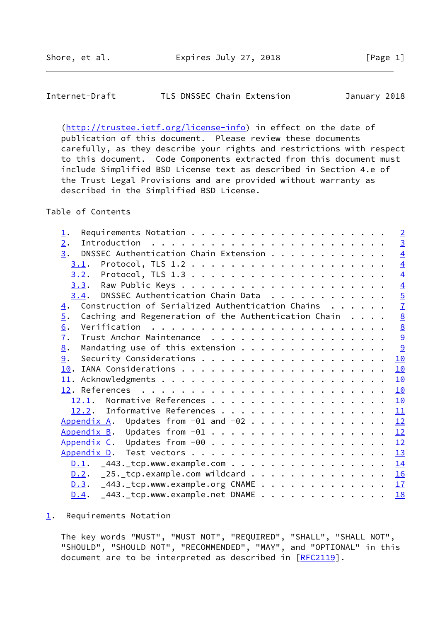## <span id="page-1-1"></span>Internet-Draft TLS DNSSEC Chain Extension January 2018

[\(http://trustee.ietf.org/license-info](http://trustee.ietf.org/license-info)) in effect on the date of publication of this document. Please review these documents carefully, as they describe your rights and restrictions with respect to this document. Code Components extracted from this document must include Simplified BSD License text as described in Section 4.e of the Trust Legal Provisions and are provided without warranty as described in the Simplified BSD License.

# Table of Contents

| $\perp$ .                                                                           |  | $\overline{2}$ |
|-------------------------------------------------------------------------------------|--|----------------|
| 2.                                                                                  |  | $rac{3}{4}$    |
| DNSSEC Authentication Chain Extension<br>3.                                         |  |                |
| 3.1.                                                                                |  | $\overline{4}$ |
| Protocol, TLS $1.3$<br>3.2.                                                         |  | $\overline{4}$ |
|                                                                                     |  | $\overline{4}$ |
| 3.4. DNSSEC Authentication Chain Data                                               |  | $\overline{5}$ |
| Construction of Serialized Authentication Chains $\dots$ .<br>$\overline{4}$ .      |  | $\overline{1}$ |
| $\overline{5}$ .<br>Caching and Regeneration of the Authentication Chain $\ldots$ . |  |                |
| 6.                                                                                  |  | $\frac{8}{9}$  |
| 7.                                                                                  |  |                |
| Mandating use of this extension<br>8.                                               |  | 9              |
| 9.                                                                                  |  | 10             |
| 10.                                                                                 |  | 10             |
|                                                                                     |  | 10             |
|                                                                                     |  | 10             |
| 12.1.                                                                               |  | 10             |
| 12.2. Informative References                                                        |  | 11             |
| Appendix A. Updates from $-01$ and $-02$                                            |  | 12             |
|                                                                                     |  |                |
|                                                                                     |  |                |
|                                                                                     |  | 13             |
| $\underline{0.1}$ . $\overline{443}$ . tcp.www.example.com 14                       |  |                |
| $\underline{D.2}$ . _25._tcp.example.com wildcard                                   |  | 16             |
| $0.3.$ $-443.$ tcp.www.example.org CNAME 17                                         |  |                |
| $-443$ . tcp.www.example.net DNAME<br>D.4.                                          |  | <b>18</b>      |
|                                                                                     |  |                |

### <span id="page-1-0"></span>[1](#page-1-0). Requirements Notation

 The key words "MUST", "MUST NOT", "REQUIRED", "SHALL", "SHALL NOT", "SHOULD", "SHOULD NOT", "RECOMMENDED", "MAY", and "OPTIONAL" in this document are to be interpreted as described in [\[RFC2119](https://datatracker.ietf.org/doc/pdf/rfc2119)].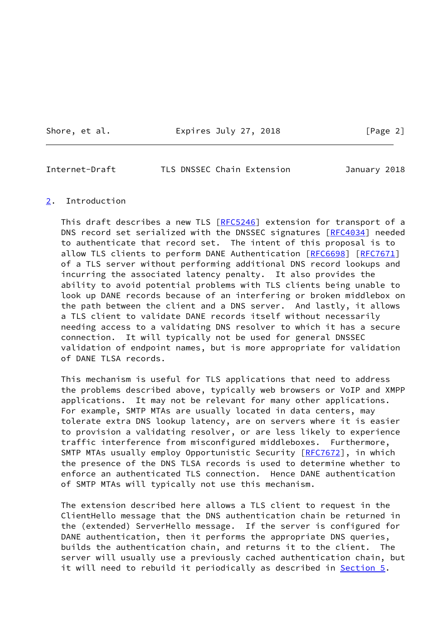Shore, et al. **Expires July 27, 2018** [Page 2]

<span id="page-2-1"></span>Internet-Draft TLS DNSSEC Chain Extension January 2018

## <span id="page-2-0"></span>[2](#page-2-0). Introduction

This draft describes a new TLS [\[RFC5246](https://datatracker.ietf.org/doc/pdf/rfc5246)] extension for transport of a DNS record set serialized with the DNSSEC signatures [\[RFC4034](https://datatracker.ietf.org/doc/pdf/rfc4034)] needed to authenticate that record set. The intent of this proposal is to allow TLS clients to perform DANE Authentication [\[RFC6698](https://datatracker.ietf.org/doc/pdf/rfc6698)] [[RFC7671\]](https://datatracker.ietf.org/doc/pdf/rfc7671) of a TLS server without performing additional DNS record lookups and incurring the associated latency penalty. It also provides the ability to avoid potential problems with TLS clients being unable to look up DANE records because of an interfering or broken middlebox on the path between the client and a DNS server. And lastly, it allows a TLS client to validate DANE records itself without necessarily needing access to a validating DNS resolver to which it has a secure connection. It will typically not be used for general DNSSEC validation of endpoint names, but is more appropriate for validation of DANE TLSA records.

 This mechanism is useful for TLS applications that need to address the problems described above, typically web browsers or VoIP and XMPP applications. It may not be relevant for many other applications. For example, SMTP MTAs are usually located in data centers, may tolerate extra DNS lookup latency, are on servers where it is easier to provision a validating resolver, or are less likely to experience traffic interference from misconfigured middleboxes. Furthermore, SMTP MTAs usually employ Opportunistic Security [\[RFC7672](https://datatracker.ietf.org/doc/pdf/rfc7672)], in which the presence of the DNS TLSA records is used to determine whether to enforce an authenticated TLS connection. Hence DANE authentication of SMTP MTAs will typically not use this mechanism.

 The extension described here allows a TLS client to request in the ClientHello message that the DNS authentication chain be returned in the (extended) ServerHello message. If the server is configured for DANE authentication, then it performs the appropriate DNS queries, builds the authentication chain, and returns it to the client. The server will usually use a previously cached authentication chain, but it will need to rebuild it periodically as described in [Section 5](#page-8-0).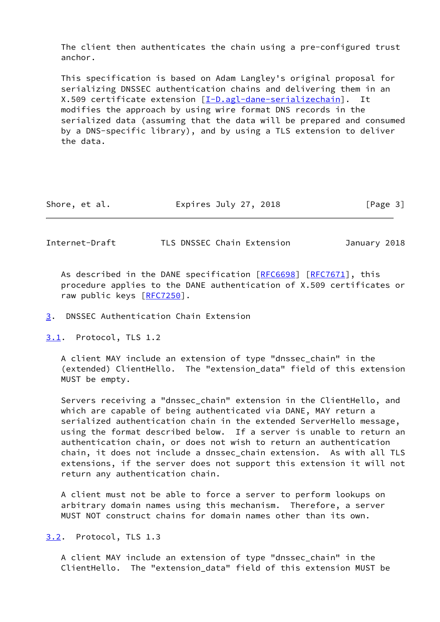The client then authenticates the chain using a pre-configured trust anchor.

 This specification is based on Adam Langley's original proposal for serializing DNSSEC authentication chains and delivering them in an X.509 certificate extension [\[I-D.agl-dane-serializechain](#page-12-3)]. It modifies the approach by using wire format DNS records in the serialized data (assuming that the data will be prepared and consumed by a DNS-specific library), and by using a TLS extension to deliver the data.

| Expires July 27, 2018<br>Shore, et al. | [Page 3] |
|----------------------------------------|----------|
|----------------------------------------|----------|

<span id="page-3-1"></span>Internet-Draft TLS DNSSEC Chain Extension January 2018

As described in the DANE specification [\[RFC6698](https://datatracker.ietf.org/doc/pdf/rfc6698)] [\[RFC7671](https://datatracker.ietf.org/doc/pdf/rfc7671)], this procedure applies to the DANE authentication of X.509 certificates or raw public keys [\[RFC7250](https://datatracker.ietf.org/doc/pdf/rfc7250)].

#### <span id="page-3-0"></span>[3](#page-3-0). DNSSEC Authentication Chain Extension

<span id="page-3-2"></span>[3.1](#page-3-2). Protocol, TLS 1.2

 A client MAY include an extension of type "dnssec\_chain" in the (extended) ClientHello. The "extension\_data" field of this extension MUST be empty.

 Servers receiving a "dnssec\_chain" extension in the ClientHello, and which are capable of being authenticated via DANE, MAY return a serialized authentication chain in the extended ServerHello message, using the format described below. If a server is unable to return an authentication chain, or does not wish to return an authentication chain, it does not include a dnssec\_chain extension. As with all TLS extensions, if the server does not support this extension it will not return any authentication chain.

 A client must not be able to force a server to perform lookups on arbitrary domain names using this mechanism. Therefore, a server MUST NOT construct chains for domain names other than its own.

<span id="page-3-3"></span>[3.2](#page-3-3). Protocol, TLS 1.3

 A client MAY include an extension of type "dnssec\_chain" in the ClientHello. The "extension\_data" field of this extension MUST be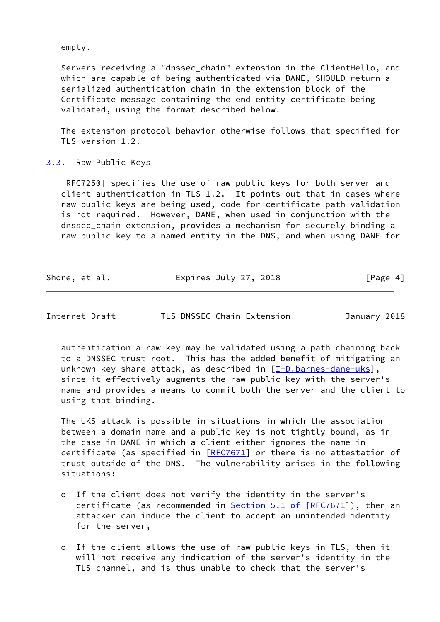empty.

Servers receiving a "dnssec chain" extension in the ClientHello, and which are capable of being authenticated via DANE, SHOULD return a serialized authentication chain in the extension block of the Certificate message containing the end entity certificate being validated, using the format described below.

 The extension protocol behavior otherwise follows that specified for TLS version 1.2.

<span id="page-4-0"></span>[3.3](#page-4-0). Raw Public Keys

 [RFC7250] specifies the use of raw public keys for both server and client authentication in TLS 1.2. It points out that in cases where raw public keys are being used, code for certificate path validation is not required. However, DANE, when used in conjunction with the dnssec\_chain extension, provides a mechanism for securely binding a raw public key to a named entity in the DNS, and when using DANE for

| Shore, et al. | Expires July 27, 2018 | [Page 4] |
|---------------|-----------------------|----------|
|---------------|-----------------------|----------|

<span id="page-4-1"></span>Internet-Draft TLS DNSSEC Chain Extension January 2018

 authentication a raw key may be validated using a path chaining back to a DNSSEC trust root. This has the added benefit of mitigating an unknown key share attack, as described in [[I-D.barnes-dane-uks](#page-12-4)], since it effectively augments the raw public key with the server's name and provides a means to commit both the server and the client to using that binding.

 The UKS attack is possible in situations in which the association between a domain name and a public key is not tightly bound, as in the case in DANE in which a client either ignores the name in certificate (as specified in  $[REC 7671]$  or there is no attestation of trust outside of the DNS. The vulnerability arises in the following situations:

- o If the client does not verify the identity in the server's certificate (as recommended in Section [5.1 of \[RFC7671\]](https://datatracker.ietf.org/doc/pdf/rfc7671#section-5.1)), then an attacker can induce the client to accept an unintended identity for the server,
- o If the client allows the use of raw public keys in TLS, then it will not receive any indication of the server's identity in the TLS channel, and is thus unable to check that the server's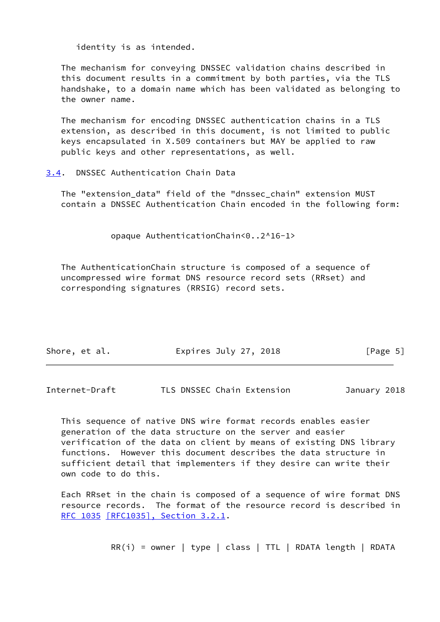identity is as intended.

 The mechanism for conveying DNSSEC validation chains described in this document results in a commitment by both parties, via the TLS handshake, to a domain name which has been validated as belonging to the owner name.

 The mechanism for encoding DNSSEC authentication chains in a TLS extension, as described in this document, is not limited to public keys encapsulated in X.509 containers but MAY be applied to raw public keys and other representations, as well.

<span id="page-5-0"></span>[3.4](#page-5-0). DNSSEC Authentication Chain Data

 The "extension\_data" field of the "dnssec\_chain" extension MUST contain a DNSSEC Authentication Chain encoded in the following form:

opaque AuthenticationChain<0..2^16-1>

 The AuthenticationChain structure is composed of a sequence of uncompressed wire format DNS resource record sets (RRset) and corresponding signatures (RRSIG) record sets.

| Shore, et al. | Expires July 27, 2018 | [Page 5] |
|---------------|-----------------------|----------|
|               |                       |          |

Internet-Draft TLS DNSSEC Chain Extension January 2018

 This sequence of native DNS wire format records enables easier generation of the data structure on the server and easier verification of the data on client by means of existing DNS library functions. However this document describes the data structure in sufficient detail that implementers if they desire can write their own code to do this.

 Each RRset in the chain is composed of a sequence of wire format DNS resource records. The format of the resource record is described in [RFC 1035](https://datatracker.ietf.org/doc/pdf/rfc1035) [\[RFC1035\], Section](https://datatracker.ietf.org/doc/pdf/rfc1035#section-3.2.1) 3.2.1.

 $RR(i) = owner \mid type \mid class \mid TTL \mid RDATA length \mid RDATA$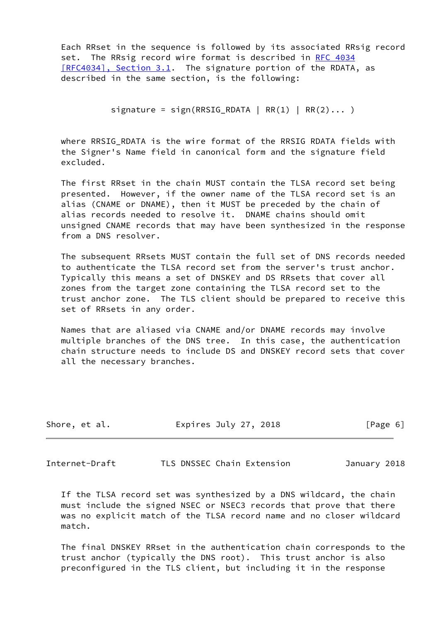Each RRset in the sequence is followed by its associated RRsig record set. The RRsig record wire format is described in [RFC 4034](https://datatracker.ietf.org/doc/pdf/rfc4034) [\[RFC4034\], Section](https://datatracker.ietf.org/doc/pdf/rfc4034#section-3.1) 3.1. The signature portion of the RDATA, as described in the same section, is the following:

signature = sign(RRSIG\_RDATA | RR(1) | RR(2)... )

where RRSIG RDATA is the wire format of the RRSIG RDATA fields with the Signer's Name field in canonical form and the signature field excluded.

 The first RRset in the chain MUST contain the TLSA record set being presented. However, if the owner name of the TLSA record set is an alias (CNAME or DNAME), then it MUST be preceded by the chain of alias records needed to resolve it. DNAME chains should omit unsigned CNAME records that may have been synthesized in the response from a DNS resolver.

 The subsequent RRsets MUST contain the full set of DNS records needed to authenticate the TLSA record set from the server's trust anchor. Typically this means a set of DNSKEY and DS RRsets that cover all zones from the target zone containing the TLSA record set to the trust anchor zone. The TLS client should be prepared to receive this set of RRsets in any order.

 Names that are aliased via CNAME and/or DNAME records may involve multiple branches of the DNS tree. In this case, the authentication chain structure needs to include DS and DNSKEY record sets that cover all the necessary branches.

| Expires July 27, 2018<br>Shore, et al. | [Page 6] |
|----------------------------------------|----------|
|----------------------------------------|----------|

<span id="page-6-0"></span>Internet-Draft TLS DNSSEC Chain Extension January 2018

 If the TLSA record set was synthesized by a DNS wildcard, the chain must include the signed NSEC or NSEC3 records that prove that there was no explicit match of the TLSA record name and no closer wildcard match.

 The final DNSKEY RRset in the authentication chain corresponds to the trust anchor (typically the DNS root). This trust anchor is also preconfigured in the TLS client, but including it in the response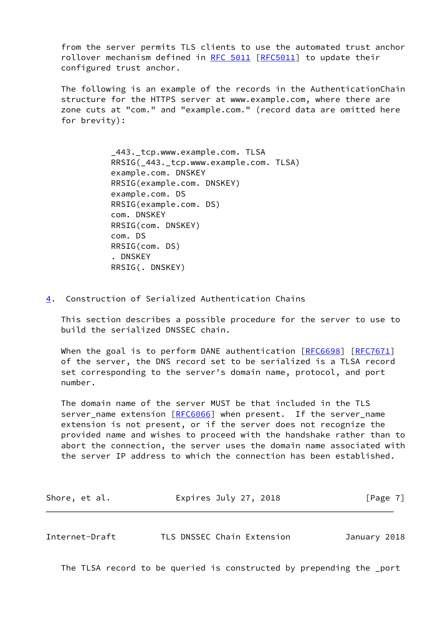from the server permits TLS clients to use the automated trust anchor rollover mechanism defined in [RFC 5011](https://datatracker.ietf.org/doc/pdf/rfc5011) [\[RFC5011](https://datatracker.ietf.org/doc/pdf/rfc5011)] to update their configured trust anchor.

 The following is an example of the records in the AuthenticationChain structure for the HTTPS server at www.example.com, where there are zone cuts at "com." and "example.com." (record data are omitted here for brevity):

> \_443.\_tcp.www.example.com. TLSA RRSIG(\_443.\_tcp.www.example.com. TLSA) example.com. DNSKEY RRSIG(example.com. DNSKEY) example.com. DS RRSIG(example.com. DS) com. DNSKEY RRSIG(com. DNSKEY) com. DS RRSIG(com. DS) . DNSKEY RRSIG(. DNSKEY)

<span id="page-7-0"></span>[4](#page-7-0). Construction of Serialized Authentication Chains

 This section describes a possible procedure for the server to use to build the serialized DNSSEC chain.

When the goal is to perform DANE authentication [\[RFC6698](https://datatracker.ietf.org/doc/pdf/rfc6698)] [[RFC7671](https://datatracker.ietf.org/doc/pdf/rfc7671)] of the server, the DNS record set to be serialized is a TLSA record set corresponding to the server's domain name, protocol, and port number.

 The domain name of the server MUST be that included in the TLS server\_name extension [[RFC6066](https://datatracker.ietf.org/doc/pdf/rfc6066)] when present. If the server\_name extension is not present, or if the server does not recognize the provided name and wishes to proceed with the handshake rather than to abort the connection, the server uses the domain name associated with the server IP address to which the connection has been established.

| Shore, et al. | Expires July 27, 2018 | [Page 7] |
|---------------|-----------------------|----------|
|               |                       |          |

<span id="page-7-1"></span>Internet-Draft TLS DNSSEC Chain Extension January 2018

The TLSA record to be queried is constructed by prepending the \_port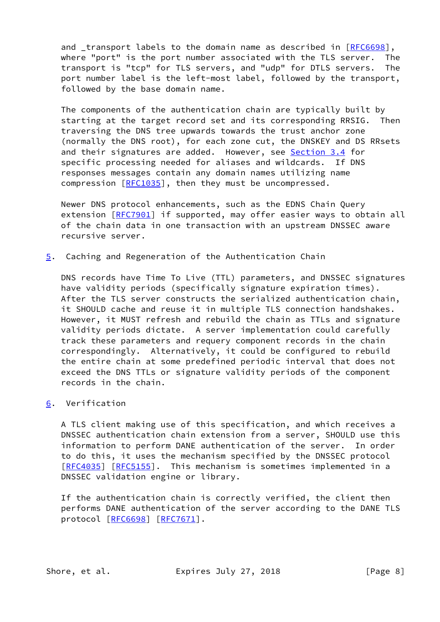and transport labels to the domain name as described in  $[RFC6698]$  $[RFC6698]$ , where "port" is the port number associated with the TLS server. The transport is "tcp" for TLS servers, and "udp" for DTLS servers. The port number label is the left-most label, followed by the transport, followed by the base domain name.

 The components of the authentication chain are typically built by starting at the target record set and its corresponding RRSIG. Then traversing the DNS tree upwards towards the trust anchor zone (normally the DNS root), for each zone cut, the DNSKEY and DS RRsets and their signatures are added. However, see [Section 3.4](#page-5-0) for specific processing needed for aliases and wildcards. If DNS responses messages contain any domain names utilizing name compression [\[RFC1035](https://datatracker.ietf.org/doc/pdf/rfc1035)], then they must be uncompressed.

 Newer DNS protocol enhancements, such as the EDNS Chain Query extension [[RFC7901](https://datatracker.ietf.org/doc/pdf/rfc7901)] if supported, may offer easier ways to obtain all of the chain data in one transaction with an upstream DNSSEC aware recursive server.

<span id="page-8-0"></span>[5](#page-8-0). Caching and Regeneration of the Authentication Chain

 DNS records have Time To Live (TTL) parameters, and DNSSEC signatures have validity periods (specifically signature expiration times). After the TLS server constructs the serialized authentication chain, it SHOULD cache and reuse it in multiple TLS connection handshakes. However, it MUST refresh and rebuild the chain as TTLs and signature validity periods dictate. A server implementation could carefully track these parameters and requery component records in the chain correspondingly. Alternatively, it could be configured to rebuild the entire chain at some predefined periodic interval that does not exceed the DNS TTLs or signature validity periods of the component records in the chain.

## <span id="page-8-1"></span>[6](#page-8-1). Verification

 A TLS client making use of this specification, and which receives a DNSSEC authentication chain extension from a server, SHOULD use this information to perform DANE authentication of the server. In order to do this, it uses the mechanism specified by the DNSSEC protocol [\[RFC4035](https://datatracker.ietf.org/doc/pdf/rfc4035)] [[RFC5155](https://datatracker.ietf.org/doc/pdf/rfc5155)]. This mechanism is sometimes implemented in a DNSSEC validation engine or library.

 If the authentication chain is correctly verified, the client then performs DANE authentication of the server according to the DANE TLS protocol [\[RFC6698](https://datatracker.ietf.org/doc/pdf/rfc6698)] [[RFC7671\]](https://datatracker.ietf.org/doc/pdf/rfc7671).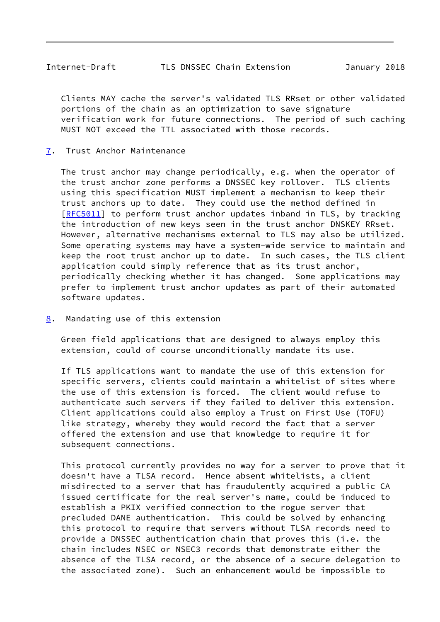<span id="page-9-1"></span> Clients MAY cache the server's validated TLS RRset or other validated portions of the chain as an optimization to save signature verification work for future connections. The period of such caching MUST NOT exceed the TTL associated with those records.

<span id="page-9-0"></span>[7](#page-9-0). Trust Anchor Maintenance

 The trust anchor may change periodically, e.g. when the operator of the trust anchor zone performs a DNSSEC key rollover. TLS clients using this specification MUST implement a mechanism to keep their trust anchors up to date. They could use the method defined in [\[RFC5011](https://datatracker.ietf.org/doc/pdf/rfc5011)] to perform trust anchor updates inband in TLS, by tracking the introduction of new keys seen in the trust anchor DNSKEY RRset. However, alternative mechanisms external to TLS may also be utilized. Some operating systems may have a system-wide service to maintain and keep the root trust anchor up to date. In such cases, the TLS client application could simply reference that as its trust anchor, periodically checking whether it has changed. Some applications may prefer to implement trust anchor updates as part of their automated software updates.

<span id="page-9-2"></span>[8](#page-9-2). Mandating use of this extension

 Green field applications that are designed to always employ this extension, could of course unconditionally mandate its use.

 If TLS applications want to mandate the use of this extension for specific servers, clients could maintain a whitelist of sites where the use of this extension is forced. The client would refuse to authenticate such servers if they failed to deliver this extension. Client applications could also employ a Trust on First Use (TOFU) like strategy, whereby they would record the fact that a server offered the extension and use that knowledge to require it for subsequent connections.

 This protocol currently provides no way for a server to prove that it doesn't have a TLSA record. Hence absent whitelists, a client misdirected to a server that has fraudulently acquired a public CA issued certificate for the real server's name, could be induced to establish a PKIX verified connection to the rogue server that precluded DANE authentication. This could be solved by enhancing this protocol to require that servers without TLSA records need to provide a DNSSEC authentication chain that proves this (i.e. the chain includes NSEC or NSEC3 records that demonstrate either the absence of the TLSA record, or the absence of a secure delegation to the associated zone). Such an enhancement would be impossible to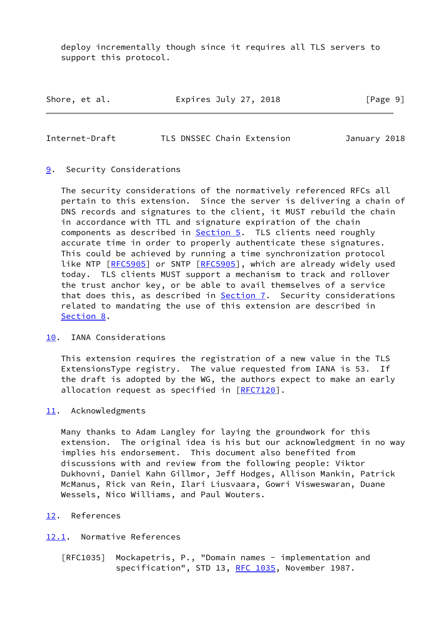deploy incrementally though since it requires all TLS servers to support this protocol.

Shore, et al. Expires July 27, 2018 [Page 9]

<span id="page-10-1"></span>Internet-Draft TLS DNSSEC Chain Extension January 2018

# <span id="page-10-0"></span>[9](#page-10-0). Security Considerations

 The security considerations of the normatively referenced RFCs all pertain to this extension. Since the server is delivering a chain of DNS records and signatures to the client, it MUST rebuild the chain in accordance with TTL and signature expiration of the chain components as described in **[Section 5.](#page-8-0)** TLS clients need roughly accurate time in order to properly authenticate these signatures. This could be achieved by running a time synchronization protocol like NTP [\[RFC5905](https://datatracker.ietf.org/doc/pdf/rfc5905)] or SNTP [[RFC5905\]](https://datatracker.ietf.org/doc/pdf/rfc5905), which are already widely used today. TLS clients MUST support a mechanism to track and rollover the trust anchor key, or be able to avail themselves of a service that does this, as described in **Section 7**. Security considerations related to mandating the use of this extension are described in [Section 8](#page-9-2).

## <span id="page-10-2"></span>[10.](#page-10-2) IANA Considerations

 This extension requires the registration of a new value in the TLS ExtensionsType registry. The value requested from IANA is 53. If the draft is adopted by the WG, the authors expect to make an early allocation request as specified in [[RFC7120\]](https://datatracker.ietf.org/doc/pdf/rfc7120).

## <span id="page-10-3"></span>[11.](#page-10-3) Acknowledgments

 Many thanks to Adam Langley for laying the groundwork for this extension. The original idea is his but our acknowledgment in no way implies his endorsement. This document also benefited from discussions with and review from the following people: Viktor Dukhovni, Daniel Kahn Gillmor, Jeff Hodges, Allison Mankin, Patrick McManus, Rick van Rein, Ilari Liusvaara, Gowri Visweswaran, Duane Wessels, Nico Williams, and Paul Wouters.

# <span id="page-10-4"></span>[12.](#page-10-4) References

# <span id="page-10-5"></span>[12.1](#page-10-5). Normative References

[RFC1035] Mockapetris, P., "Domain names - implementation and specification", STD 13, [RFC 1035,](https://datatracker.ietf.org/doc/pdf/rfc1035) November 1987.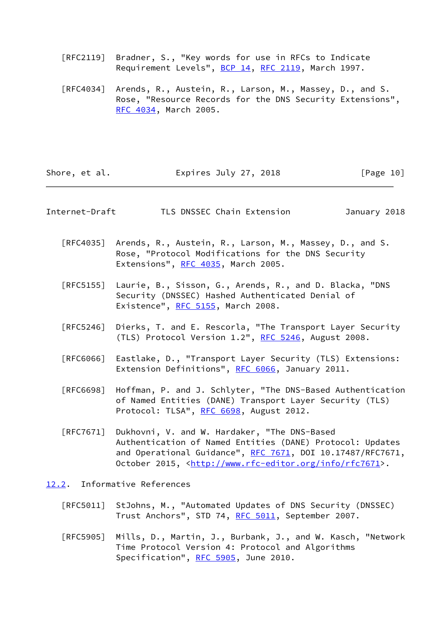- [RFC2119] Bradner, S., "Key words for use in RFCs to Indicate Requirement Levels", [BCP 14](https://datatracker.ietf.org/doc/pdf/bcp14), [RFC 2119](https://datatracker.ietf.org/doc/pdf/rfc2119), March 1997.
- [RFC4034] Arends, R., Austein, R., Larson, M., Massey, D., and S. Rose, "Resource Records for the DNS Security Extensions", [RFC 4034,](https://datatracker.ietf.org/doc/pdf/rfc4034) March 2005.

| Shore, et al. | Expires July 27, 2018 | [Page 10] |
|---------------|-----------------------|-----------|
|---------------|-----------------------|-----------|

<span id="page-11-1"></span>Internet-Draft TLS DNSSEC Chain Extension January 2018

- [RFC4035] Arends, R., Austein, R., Larson, M., Massey, D., and S. Rose, "Protocol Modifications for the DNS Security Extensions", [RFC 4035](https://datatracker.ietf.org/doc/pdf/rfc4035), March 2005.
- [RFC5155] Laurie, B., Sisson, G., Arends, R., and D. Blacka, "DNS Security (DNSSEC) Hashed Authenticated Denial of Existence", [RFC 5155,](https://datatracker.ietf.org/doc/pdf/rfc5155) March 2008.
- [RFC5246] Dierks, T. and E. Rescorla, "The Transport Layer Security (TLS) Protocol Version 1.2", [RFC 5246](https://datatracker.ietf.org/doc/pdf/rfc5246), August 2008.
- [RFC6066] Eastlake, D., "Transport Layer Security (TLS) Extensions: Extension Definitions", [RFC 6066,](https://datatracker.ietf.org/doc/pdf/rfc6066) January 2011.
- [RFC6698] Hoffman, P. and J. Schlyter, "The DNS-Based Authentication of Named Entities (DANE) Transport Layer Security (TLS) Protocol: TLSA", [RFC 6698,](https://datatracker.ietf.org/doc/pdf/rfc6698) August 2012.
- [RFC7671] Dukhovni, V. and W. Hardaker, "The DNS-Based Authentication of Named Entities (DANE) Protocol: Updates and Operational Guidance", [RFC 7671](https://datatracker.ietf.org/doc/pdf/rfc7671), DOI 10.17487/RFC7671, October 2015, [<http://www.rfc-editor.org/info/rfc7671](http://www.rfc-editor.org/info/rfc7671)>.
- <span id="page-11-0"></span>[12.2](#page-11-0). Informative References
	- [RFC5011] StJohns, M., "Automated Updates of DNS Security (DNSSEC) Trust Anchors", STD 74, [RFC 5011,](https://datatracker.ietf.org/doc/pdf/rfc5011) September 2007.
	- [RFC5905] Mills, D., Martin, J., Burbank, J., and W. Kasch, "Network Time Protocol Version 4: Protocol and Algorithms Specification", [RFC 5905,](https://datatracker.ietf.org/doc/pdf/rfc5905) June 2010.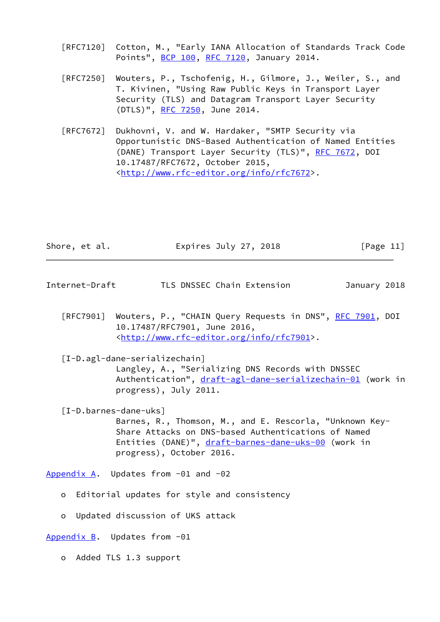- [RFC7120] Cotton, M., "Early IANA Allocation of Standards Track Code Points", [BCP 100,](https://datatracker.ietf.org/doc/pdf/bcp100) [RFC 7120](https://datatracker.ietf.org/doc/pdf/rfc7120), January 2014.
- [RFC7250] Wouters, P., Tschofenig, H., Gilmore, J., Weiler, S., and T. Kivinen, "Using Raw Public Keys in Transport Layer Security (TLS) and Datagram Transport Layer Security (DTLS)", [RFC 7250,](https://datatracker.ietf.org/doc/pdf/rfc7250) June 2014.
- [RFC7672] Dukhovni, V. and W. Hardaker, "SMTP Security via Opportunistic DNS-Based Authentication of Named Entities (DANE) Transport Layer Security (TLS)", [RFC 7672,](https://datatracker.ietf.org/doc/pdf/rfc7672) DOI 10.17487/RFC7672, October 2015, <<http://www.rfc-editor.org/info/rfc7672>>.

| Expires July 27, 2018<br>Shore, et al.<br>[Page 11] |  |
|-----------------------------------------------------|--|
|-----------------------------------------------------|--|

- <span id="page-12-1"></span>Internet-Draft TLS DNSSEC Chain Extension January 2018
	- [RFC7901] Wouters, P., "CHAIN Query Requests in DNS", [RFC 7901,](https://datatracker.ietf.org/doc/pdf/rfc7901) DOI 10.17487/RFC7901, June 2016, <<http://www.rfc-editor.org/info/rfc7901>>.

<span id="page-12-3"></span> [I-D.agl-dane-serializechain] Langley, A., "Serializing DNS Records with DNSSEC Authentication", [draft-agl-dane-serializechain-01](https://datatracker.ietf.org/doc/pdf/draft-agl-dane-serializechain-01) (work in progress), July 2011.

<span id="page-12-4"></span> [I-D.barnes-dane-uks] Barnes, R., Thomson, M., and E. Rescorla, "Unknown Key- Share Attacks on DNS-based Authentications of Named Entities (DANE)", [draft-barnes-dane-uks-00](https://datatracker.ietf.org/doc/pdf/draft-barnes-dane-uks-00) (work in progress), October 2016.

<span id="page-12-0"></span>[Appendix A.](#page-12-0) Updates from -01 and -02

- o Editorial updates for style and consistency
- o Updated discussion of UKS attack

<span id="page-12-2"></span>[Appendix B.](#page-12-2) Updates from -01

o Added TLS 1.3 support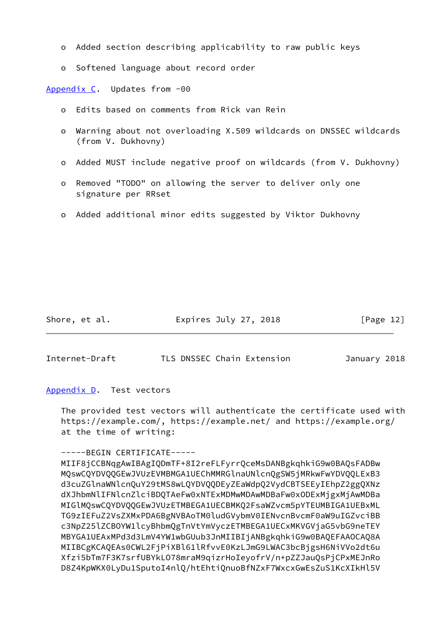- o Added section describing applicability to raw public keys
- o Softened language about record order

<span id="page-13-0"></span>[Appendix C.](#page-13-0) Updates from -00

- o Edits based on comments from Rick van Rein
- o Warning about not overloading X.509 wildcards on DNSSEC wildcards (from V. Dukhovny)
- o Added MUST include negative proof on wildcards (from V. Dukhovny)
- o Removed "TODO" on allowing the server to deliver only one signature per RRset
- o Added additional minor edits suggested by Viktor Dukhovny

Shore, et al. **Expires July 27, 2018** [Page 12]

<span id="page-13-2"></span>Internet-Draft TLS DNSSEC Chain Extension January 2018

<span id="page-13-1"></span>[Appendix D.](#page-13-1) Test vectors

 The provided test vectors will authenticate the certificate used with https://example.com/, https://example.net/ and https://example.org/ at the time of writing:

### -----BEGIN CERTIFICATE-----

 MIIF8jCCBNqgAwIBAgIQDmTF+8I2reFLFyrrQceMsDANBgkqhkiG9w0BAQsFADBw MQswCQYDVQQGEwJVUzEVMBMGA1UEChMMRGlnaUNlcnQgSW5jMRkwFwYDVQQLExB3 d3cuZGlnaWNlcnQuY29tMS8wLQYDVQQDEyZEaWdpQ2VydCBTSEEyIEhpZ2ggQXNz dXJhbmNlIFNlcnZlciBDQTAeFw0xNTExMDMwMDAwMDBaFw0xODExMjgxMjAwMDBa MIGlMQswCQYDVQQGEwJVUzETMBEGA1UECBMKQ2FsaWZvcm5pYTEUMBIGA1UEBxML TG9zIEFuZ2VsZXMxPDA6BgNVBAoTM0ludGVybmV0IENvcnBvcmF0aW9uIGZvciBB c3NpZ25lZCBOYW1lcyBhbmQgTnVtYmVyczETMBEGA1UECxMKVGVjaG5vbG9neTEY MBYGA1UEAxMPd3d3LmV4YW1wbGUub3JnMIIBIjANBgkqhkiG9w0BAQEFAAOCAQ8A MIIBCgKCAQEAs0CWL2FjPiXBl61lRfvvE0KzLJmG9LWAC3bcBjgsH6NiVVo2dt6u Xfzi5bTm7F3K7srfUBYkLO78mraM9qizrHoIeyofrV/n+pZZJauQsPjCPxMEJnRo D8Z4KpWKX0LyDu1SputoI4nlQ/htEhtiQnuoBfNZxF7WxcxGwEsZuS1KcXIkHl5V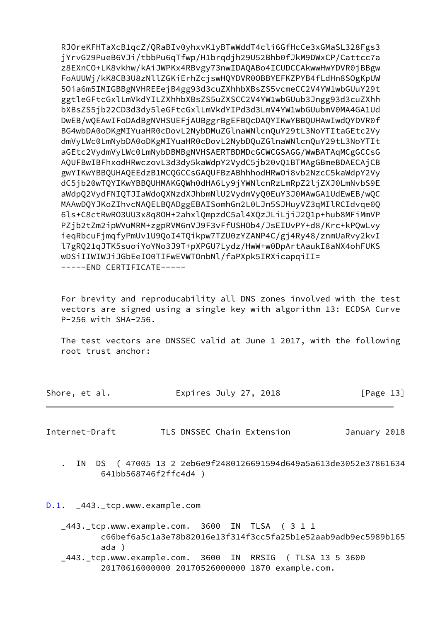RJOreKFHTaXcB1qcZ/ORaBIv0yhxvK1yBTwWddT4cli6GfHcCe3xGMaSL328Fgs3 jYrvG29PueB6VJi/tbbPu6qTfwp/H1brqdjh29U52Bhb0fJkM9DWxCP/Cattcc7a z8EXnCO+LK8vkhw/kAiJWPKx4RBvgy73nwIDAQABo4ICUDCCAkwwHwYDVR0jBBgw FoAUUWj/kK8CB3U8zNllZGKiErhZcjswHQYDVR0OBBYEFKZPYB4fLdHn8SOgKpUW 50ia6m5IMIGBBgNVHREEejB4gg93d3cuZXhhbXBsZS5vcmeCC2V4YW1wbGUuY29t ggtleGFtcGxlLmVkdYILZXhhbXBsZS5uZXSCC2V4YW1wbGUub3Jngg93d3cuZXhh bXBsZS5jb22CD3d3dy5leGFtcGxlLmVkdYIPd3d3LmV4YW1wbGUubmV0MA4GA1Ud DwEB/wQEAwIFoDAdBgNVHSUEFjAUBggrBgEFBQcDAQYIKwYBBQUHAwIwdQYDVR0f BG4wbDA0oDKgMIYuaHR0cDovL2NybDMuZGlnaWNlcnQuY29tL3NoYTItaGEtc2Vy dmVyLWc0LmNybDA0oDKgMIYuaHR0cDovL2NybDQuZGlnaWNlcnQuY29tL3NoYTIt aGEtc2VydmVyLWc0LmNybDBMBgNVHSAERTBDMDcGCWCGSAGG/WwBATAqMCgGCCsG AQUFBwIBFhxodHRwczovL3d3dy5kaWdpY2VydC5jb20vQ1BTMAgGBmeBDAECAjCB gwYIKwYBBQUHAQEEdzB1MCQGCCsGAQUFBzABhhhodHRwOi8vb2NzcC5kaWdpY2Vy dC5jb20wTQYIKwYBBQUHMAKGQWh0dHA6Ly9jYWNlcnRzLmRpZ2ljZXJ0LmNvbS9E aWdpQ2VydFNIQTJIaWdoQXNzdXJhbmNlU2VydmVyQ0EuY3J0MAwGA1UdEwEB/wQC MAAwDQYJKoZIhvcNAQELBQADggEBAISomhGn2L0LJn5SJHuyVZ3qMIlRCIdvge0Q 6ls+C8ctRwR03UU3x8q80H+2ahxlQmpzdC5al4XQzJLiLjiJ2Q1p+hub8MFiMmVP PZjb2tZm2ipWVuMRM+zgpRVM6nVJ9F3vFfUSH0b4/JsEIUvPY+d8/Krc+kPQwLvy iegRbcuFimgfyPmUv1U90oI4T0ikpw7TZU0zYZANP4C/gi4Ry48/znmUaRvy2kvI l7gRQ21qJTK5suoiYoYNo3J9T+pXPGU7Lydz/HwW+w0DpArtAaukI8aNX4ohFUKS wDSiIIWIWJiJGbEeIO0TIFwEVWTOnbNl/faPXpk5IRXicapqiII= -----END CERTIFICATE-----

For brevity and reproducability all DNS zones involved with the test vectors are signed using a single key with algorithm 13: ECDSA Curve P-256 with SHA-256.

The test vectors are DNSSEC valid at June 1 2017, with the following root trust anchor:

| Shore, et al. | Expires July 27, 2018 | [Page 13] |
|---------------|-----------------------|-----------|
|               |                       |           |

<span id="page-14-1"></span>Internet-Draft TLS DNSSEC Chain Extension January 2018

IN DS (47005 13 2 2eb6e9f2480126691594d649a5a613de3052e37861634 641bb568746f2ffc4d4)

<span id="page-14-0"></span> $D.1.$   $-443.$  Lcp. www.example.com

\_443. tcp.www.example.com. 3600 IN TLSA (311 c66bef6a5c1a3e78b82016e13f314f3cc5fa25b1e52aab9adb9ec5989b165  $ada)$ 

\_443.\_tcp.www.example.com. 3600 IN RRSIG (TLSA 13 5 3600 20170616000000 20170526000000 1870 example.com.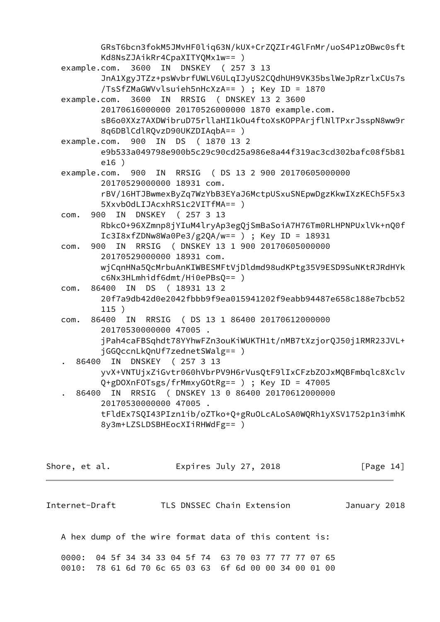GRsT6bcn3fokM5JMvHF0liq63N/kUX+CrZQZIr4GlFnMr/uoS4P1zOBwc0sft Kd8NsZJAikRr4CpaXITYQMx1w== ) example.com. 3600 IN DNSKEY ( 257 3 13 JnA1XgyJTZz+psWvbrfUWLV6ULqIJyUS2CQdhUH9VK35bslWeJpRzrlxCUs7s /TsSfZMaGWVvlsuieh5nHcXzA== ) ; Key ID = 1870 example.com. 3600 IN RRSIG ( DNSKEY 13 2 3600 20170616000000 20170526000000 1870 example.com. sB6o0XXz7AXDWibruD75rllaHI1kOu4ftoXsKOPPArjflNlTPxrJsspN8ww9r 8q6DBlCdlRQvzD90UKZDIAqbA== ) example.com. 900 IN DS ( 1870 13 2 e9b533a049798e900b5c29c90cd25a986e8a44f319ac3cd302bafc08f5b81 e16 ) example.com. 900 IN RRSIG ( DS 13 2 900 20170605000000 20170529000000 18931 com. rBV/16HTJBwmexByZq7WzYbB3EYaJ6MctpUSxuSNEpwDgzKkwIXzKECh5F5x3 5XxvbOdLIJAcxhRS1c2VITfMA== ) com. 900 IN DNSKEY ( 257 3 13 RbkcO+96XZmnp8jYIuM4lryAp3egQjSmBaSoiA7H76Tm0RLHPNPUxlVk+nQ0f Ic3I8xfZDNw8Wa0Pe3/g2QA/w== ) ; Key ID = 18931 com. 900 IN RRSIG ( DNSKEY 13 1 900 20170605000000 20170529000000 18931 com. wjCqnHNa5QcMrbuAnKIWBESMFtVjDldmd98udKPtg35V9ESD9SuNKtRJRdHYk c6Nx3HLmhidf6dmt/Hi0ePBsQ== ) com. 86400 IN DS ( 18931 13 2 20f7a9db42d0e2042fbbb9f9ea015941202f9eabb94487e658c188e7bcb52 115 ) com. 86400 IN RRSIG ( DS 13 1 86400 20170612000000 20170530000000 47005 . jPah4caFBSqhdt78YYhwFZn3ouKiWUKTH1t/nMB7tXzjorQJ50j1RMR23JVL+ jGGQccnLkQnUf7zednetSWalg== ) . 86400 IN DNSKEY ( 257 3 13 yvX+VNTUjxZiGvtr060hVbrPV9H6rVusQtF9lIxCFzbZOJxMQBFmbqlc8Xclv Q+gDOXnFOTsgs/frMmxyGOtRg== ) ; Key ID = 47005 . 86400 IN RRSIG ( DNSKEY 13 0 86400 20170612000000 20170530000000 47005 . tFldEx7SQI43PIzn1ib/oZTko+Q+gRuOLcALoSA0WQRh1yXSV1752p1n3imhK 8y3m+LZSLDSBHEocXIiRHWdFg== )

Shore, et al. **Expires July 27, 2018** [Page 14]

Internet-Draft TLS DNSSEC Chain Extension January 2018

A hex dump of the wire format data of this content is:

 0000: 04 5f 34 34 33 04 5f 74 63 70 03 77 77 77 07 65 0010: 78 61 6d 70 6c 65 03 63 6f 6d 00 00 34 00 01 00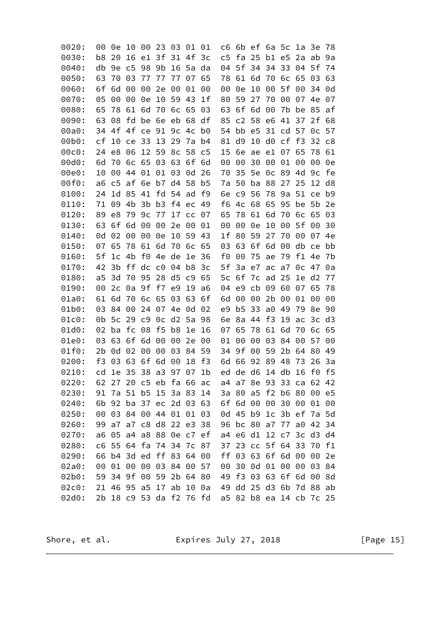| 0020: | 00 | 0e             | 10       | 00             | 23                      | 03    | 01       | 01             | c6                      | 6b                      |    | ef 6a 5c       |                | 1a        | 3e             | 78             |
|-------|----|----------------|----------|----------------|-------------------------|-------|----------|----------------|-------------------------|-------------------------|----|----------------|----------------|-----------|----------------|----------------|
| 0030: | b8 | 20             | 16       | e1             | 3f                      | 31    | 4f       | 3 <sub>c</sub> | c <sub>5</sub>          | fa                      | 25 | b1             | e <sub>5</sub> | 2a        | ab             | 9a             |
| 0040: | db | 9e             | c5       | 98             | 9b                      |       | 16 5a da |                | 04                      | 5f                      | 34 | 34             | 33             | 04        | 5f             | 74             |
| 0050: | 63 | 70             | 03       | 77             | 77                      | 77    | 07       | 65             | 78                      | 61                      | 6d | 70             | 6c             | 65        | 03             | 63             |
| 0060: | 6f | 6d             | 00       | 00             | 2e                      | 00    | 01       | 00             | 00                      | 0e                      | 10 | 00             | 5f             | 00        | 34             | 0d             |
| 0070: | 05 | 00             | 00       | 0e             | 10                      | 59    | 43       | 1 <sub>f</sub> | 80                      | 59                      | 27 | 70             | 00             | 07        | 4e             | 07             |
| 0080: | 65 | 78             | 61       | 6d             | 70                      | 6c 65 |          | 03             | 63                      | 6f                      | 6d | 00             | 7b             | be        | 85             | af             |
| 0090: | 63 | 08             | fd       | be             | 6e eb                   |       | 68       | df             | 85                      | c2                      | 58 | e6             | 41             | 37        | 2f             | 68             |
| 00a0: | 34 | 4f             |          |                | 4f ce 91 9c 4c b0       |       |          |                | 54                      | bb                      | e5 | 31 cd          |                | 57        | 0c             | 57             |
| 00b0: | сf | 10             | ce       | 33             | 13                      | 29    | 7a       | b4             | 81                      | d9                      | 10 | d0             | cf             | f3        | 32             | c8             |
| 00c0: | 24 | e8             | 06       | 12             | 59                      |       | 8c 58 c5 |                | 15                      | 6e                      | ae | e1             | 07             | 65        | 78             | 61             |
| 00d0: | 6d | 70             | 6c       | 65             | 03                      | 63    | 6f       | 6d             | 00                      | 00                      | 30 | 00             | 01             | 00        | 00             | 0e             |
| 00e0: | 10 | 00             | 44       | 01             | 01                      | 03    | 0d       | 26             | 70                      | 35                      | 5e | 0c             | 89             | 4d        | 9c             | fe             |
| 00f0: | a6 | c <sub>5</sub> | af 6e    |                | b7 d4 58                |       |          | b5             | 7a                      | 50                      | ba | 88             | 27             | 25        | 12             | d8             |
| 0100: | 24 | 1d             | 85       | 41             | fd                      | 54    | ad       | f9             | 6e                      | c <sub>9</sub>          | 56 | 78             | 9a             | 51        | ce             | b9             |
| 0110: | 71 | 09             | 4b       | 3b             | b <sub>3</sub>          |       | f4 ec    | 49             | f6                      | 4c                      | 68 | 65             | 95             | be        | 5b             | 2e             |
| 0120: | 89 | e8             | 79       | 9c             | 77                      |       | 17 cc 07 |                | 65                      | 78                      | 61 | 6d             | 70             | 6c        | 65             | 03             |
| 0130: | 63 | 6f             | 6d       | 00             | 00                      | 2e    | 00       | 01             | 00                      | 00                      | 0e | 10             | 00             | 5f        | 00             | 30             |
| 0140: | 0d | 02             | 00       | 00             | 0e                      | 10    | 59 43    |                | 1f                      | 80                      | 59 | 27             | 70             | 00        | 07             | 4e             |
| 0150: | 07 | 65             | 78       | 61             | 6d                      | 70    | 6c 65    |                | 03                      | 63                      | 6f | 6d             | 00             | db        | ce             | bb             |
| 0160: | 5f | 1 <sub>c</sub> | 4b       | f0             | 4e                      | de    | 1e       | 36             | f0                      | 00                      | 75 | ae             | 79             | f1        | 4e             | 7b             |
| 0170: | 42 | 3b             | ff       | $dc$ $c0$      |                         | 04    | b8       | 3 <sub>c</sub> | 5f                      | 3a                      | e7 | ac             | a7             | 0c        | 47             | 0a             |
| 0180: | a5 | 3d             | 70       | 95             | 28                      | d5    | c9       | 65             | 5c                      | 6f                      | 7c | ad             | 25             | 1e        | d <sub>2</sub> | 77             |
| 0190: | 00 | 2c             | 0a       | 9f             | f7                      | e9    | 19       | a6             | 04                      | e9                      | cb | 09             | 60             | 07        | 65             | 78             |
| 01a0: | 61 | 6d             | 70       | 6c 65          |                         | 03    | 63       | 6f             | 6d                      | 00                      | 00 | 2b             | 00             | 01        | 00             | 00             |
| 01b0: | 03 | 84             | 00       | 24             | 07                      | 4e    | 0d       | 02             | e9                      | b5                      | 33 | $a\theta$      | 49             | 79        | 8e             | 90             |
| 01c0: | 0b | 5c             | 29       | c <sub>9</sub> | 0c                      | d2    | 5a       | 98             | 6e                      | 8a                      | 44 | f3             | 19             | ac        | 3c             | d3             |
| 01d0: | 02 | ba             | fc 08    |                | f <sub>5</sub>          | b8    | 1e       | 16             | 07                      | 65                      | 78 | 61             | 6d             | 70        | 6c             | 65             |
| 01e0: | 03 | 63             | 6f       | 6d             | 00                      | 00    | 2e       | 00             | 01                      | 00                      | 00 | 03             | 84             | 00        | 57             | $\Theta$       |
| 01f0: | 2b | 0d             | 02       | 00             | 00                      | 03    | 84 59    |                | 34                      | 9f                      | 00 | 59             | 2b             | 64        | 80             | 49             |
| 0200: | f3 | 03             | 63       | 6f 6d          |                         | 00    | 18       | $-f3$          | 6d                      | 66                      | 92 | 89             | 48             | 73        | 26             | 3a             |
| 0210: | cd |                |          |                | 1e 35 38 a3 97 07 1b    |       |          |                | ed                      |                         |    | de d6 14 db 16 |                |           | f0             | f <sub>5</sub> |
| 0220: |    |                |          |                | 62 27 20 c5 eb fa 66 ac |       |          |                | a4 a7 8e 93 33 ca 62 42 |                         |    |                |                |           |                |                |
| 0230: |    |                |          |                | 91 7a 51 b5 15 3a 83 14 |       |          |                |                         | 3a 80                   | a5 |                | f2 b6 80       |           | 00             | e5             |
| 0240: | 6b | 92             |          |                | ba 37 ec 2d 03 63       |       |          |                |                         | 6f 6d                   | 00 | 00             | 30             | 00        | 01             | 00             |
| 0250: | 00 |                |          |                | 03 84 00 44 01 01 03    |       |          |                |                         | 0d 45 b9                |    |                |                |           | 1c 3b ef 7a 5d |                |
| 0260: | 99 | a7             |          |                | a7 c8 d8 22 e3 38       |       |          |                |                         | 96 bc 80                |    | a7             | 77             | $a\theta$ | 42 34          |                |
| 0270: | a6 | 05             |          |                | a4 a8 88 0e c7 ef       |       |          |                |                         | a4 e6 d1                |    |                |                |           | 12 c7 3c d3 d4 |                |
| 0280: | c6 |                |          |                | 55 64 fa 74 34 7c 87    |       |          |                |                         | 37 23 cc 5f 64 33       |    |                |                |           | 70             | f1             |
| 0290: |    |                |          |                | 66 b4 3d ed ff 83 64 00 |       |          |                |                         | ff 03                   | 63 |                | 6f 6d          | 00        | 00             | 2e             |
| 02a0: | 00 | 01             | $\Theta$ | 00             | 03                      |       | 84 00 57 |                | 00                      | 30                      | 0d | 01             | 00             | 00        | 03             | 84             |
| 02b0: | 59 |                |          |                | 34 9f 00 59 2b 64 80    |       |          |                | 49                      | f3 03                   |    | 63             | 6f 6d          |           | 00             | 8d             |
| 02c0: |    |                |          |                | 21 46 95 a5 17 ab 10 0a |       |          |                |                         | 49 dd 25 d3 6b 7d 88    |    |                |                |           |                | ab             |
| 02d0: |    |                |          |                | 2b 18 c9 53 da f2 76 fd |       |          |                |                         | a5 82 b8 ea 14 cb 7c 25 |    |                |                |           |                |                |

Shore, et al.

Expires July 27, 2018

[Page 15]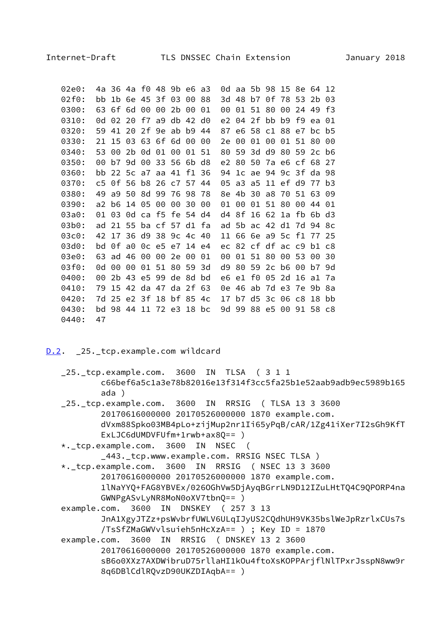<span id="page-17-1"></span>

| 02e0: | 4a.         |     | 36 4a f0 48 9b       |    | e6.   | a3 | 0d.  |                         |       | aa 5b 98 15          |       | 8e          | 64      | 12   |
|-------|-------------|-----|----------------------|----|-------|----|------|-------------------------|-------|----------------------|-------|-------------|---------|------|
| 02f0: | bb          |     | 1b 6e 45 3f 03       |    | 00.   | 88 | 3d - | 48                      | b7    |                      |       | 0f 78 53 2b |         | 03   |
| 0300: | 63.         |     | 6f 6d 00 00 2b       |    | 00    | 01 | 00   |                         |       | 01 51 80 00          |       | 24 49       |         | - f3 |
| 0310: | 0d          |     | 02 20 f7 a9 db 42 d0 |    |       |    |      | e2 04 2f bb b9 f9 ea 01 |       |                      |       |             |         |      |
| 0320: | 59.         |     | 41 20 2f 9e ab       |    | b9 l  | 44 | 87   |                         |       | e6 58 c1 88 e7       |       |             | $bc$ b5 |      |
| 0330: | 21          |     | 15 03 63 6f 6d       |    | 00    | 00 | 2e   | 00                      | 01    | 00                   |       | 01 51 80    |         | 00   |
| 0340: | 53.         | 00. | 2b 0d 01 00          |    | 01 51 |    | 80   |                         |       | 59 3d d9 80 59 2c b6 |       |             |         |      |
| 0350: | 00          |     | b7 9d 00 33 56       |    | 6b d8 |    | e2   | 80                      | 50    | 7a e6 cf 68          |       |             |         | 27   |
| 0360: | bb          |     | 22 5c a7 aa 41       |    | f1 36 |    | 94   |                         |       | 1c ae 94 9c 3f da 98 |       |             |         |      |
| 0370: | $c_{\rm 5}$ |     | 0f 56 b8 26 c7 57 44 |    |       |    | 05.  |                         |       | a3 a5 11 ef d9 77    |       |             |         | b3   |
| 0380: | 49.         |     | a9 50 8d 99 76       |    | 98 78 |    | 8e.  | 4b 30                   |       | a8 70                |       | 51 63 09    |         |      |
| 0390: | a2.         | b6. | 14 05 00 00          |    | 30    | 00 | 01   | 00                      |       | 01 51 80             |       | 00          | 44 01   |      |
| 03a0: | 01          | 03. | 0d ca f5 fe 54 d4    |    |       |    | d4   | 8f                      |       | 16 62 1a fb 6b       |       |             |         | d3   |
| 03b0: | ad          |     | 21 55 ba cf 57 d1 fa |    |       |    |      | ad 5b ac 42 d1 7d 94 8c |       |                      |       |             |         |      |
| 03c0: | 42          |     | 17 36 d9 38 9c 4c 40 |    |       |    |      | 11 66 6e a9 5c f1 77 25 |       |                      |       |             |         |      |
| 03d0: | bd          |     | 0f a0 0c e5 e7 14 e4 |    |       |    | ec   |                         |       | 82 cf df ac c9       |       |             | b1 c8   |      |
| 03e0: | 63          |     | ad 46 00 00          | 2e | 00    | 01 | 00   | 01                      | 51 80 |                      | 00    | - 53        | 00      | 30   |
| 03f0: | 0d          |     | 00 00 01 51 80 59 3d |    |       |    | d9   | 80                      |       | 59 2c b6 00          |       |             | . b7 9d |      |
| 0400: | 00          |     | 2b 43 e5 99 de       |    | 8d    | bd | e6.  | e1                      | f0 l  |                      | 05 2d | 16          | a1      | 7а   |
| 0410: | 79          |     | 15 42 da 47 da 2f 63 |    |       |    | 0e - | 46                      |       | ab 7d e3 7e 9b       |       |             |         | 8a   |
| 0420: | 7d          |     | 25 e2 3f 18 bf 85 4c |    |       |    | 17   | b7.                     |       | d5 3c 06 c8          |       |             | 18      | bb   |
| 0430: | bd          |     | 98 44 11 72 e3 18 bc |    |       |    | 9d - | 99                      |       | 88 e5 00 91 58 c8    |       |             |         |      |
| 0440: | 47          |     |                      |    |       |    |      |                         |       |                      |       |             |         |      |

### <span id="page-17-0"></span>D.2. \_25.\_tcp.example.com wildcard

- 25. tcp.example.com. 3600 IN TLSA (311 c66bef6a5c1a3e78b82016e13f314f3cc5fa25b1e52aab9adb9ec5989b165  $ada)$
- \_25.\_tcp.example.com. 3600 IN RRSIG ( TLSA 13 3 3600 20170616000000 20170526000000 1870 example.com. dVxm88Spko03MB4pLo+zijMup2nr1Ii65yPqB/cAR/1Zg41iXer7I2sGh9KfT  $ExLJCGdUMDVFUfm+1rwb+ax8Q==$
- \*.\_tcp.example.com. 3600 IN NSEC (

\_443.\_tcp.www.example.com. RRSIG NSEC TLSA )

- \*.\_tcp.example.com. 3600 IN RRSIG ( NSEC 13 3 3600 20170616000000 20170526000000 1870 example.com. 1lNaYYQ+FAG8YBVEx/0260GhVw5DjAyqBGrrLN9D12IZuLHtTQ4C9QPORP4na GWNPgASvLyNR8MoN0oXV7tbnQ== )
- example.com. 3600 IN DNSKEY (257 3 13 JnA1XgyJTZz+psWvbrfUWLV6ULqIJyUS2CQdhUH9VK35bslWeJpRzrlxCUs7s /TsSfZMaGWVvlsuieh5nHcXzA== ) ; Key ID = 1870
- example.com. 3600 IN RRSIG ( DNSKEY 13 2 3600 20170616000000 20170526000000 1870 example.com. sB6o0XXz7AXDWibruD75rllaHI1kOu4ftoXsKOPPArjflNlTPxrJsspN8ww9r 8q6DBlCdlRQvzD90UKZDIAqbA== )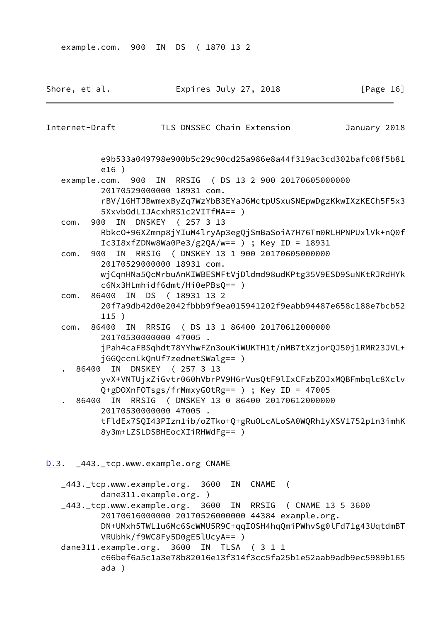<span id="page-18-1"></span><span id="page-18-0"></span>

| Shore, et al.  |       |               |                                                            | Expires July 27, 2018      |                                                                                                                | [Page 16]                                                     |
|----------------|-------|---------------|------------------------------------------------------------|----------------------------|----------------------------------------------------------------------------------------------------------------|---------------------------------------------------------------|
| Internet-Draft |       |               |                                                            | TLS DNSSEC Chain Extension |                                                                                                                | January 2018                                                  |
|                |       | e16)          |                                                            |                            |                                                                                                                | e9b533a049798e900b5c29c90cd25a986e8a44f319ac3cd302bafc08f5b81 |
|                |       | example.com.  |                                                            |                            | 900 IN RRSIG ( DS 13 2 900 20170605000000                                                                      |                                                               |
|                |       |               | 20170529000000 18931 com.<br>5XxvbOdLIJAcxhRS1c2VITfMA== ) |                            |                                                                                                                | rBV/16HTJBwmexByZq7WzYbB3EYaJ6MctpUSxuSNEpwDgzKkwIXzKECh5F5x3 |
| com.           |       | 900           | IN DNSKEY (257 3 13                                        |                            |                                                                                                                |                                                               |
|                |       |               |                                                            |                            | $IC3I8xfZDNw8Wa0Pe3/g2QA/w==$ ) ; Key ID = 18931                                                               | Rbkc0+96XZmnp8jYIuM4lryAp3egQjSmBaSoiA7H76Tm0RLHPNPUxlVk+nQ0f |
| com.           |       | 900<br>IN     | 20170529000000 18931 com.                                  |                            | RRSIG ( DNSKEY 13 1 900 20170605000000                                                                         |                                                               |
|                |       |               | c6Nx3HLmhidf6dmt/Hi0ePBsQ== )                              |                            |                                                                                                                | wjCqnHNa5QcMrbuAnKIWBESMFtVjDldmd98udKPtg35V9ESD9SuNKtRJRdHYk |
| com.           |       | 86400<br>115) | IN DS (18931 13 2                                          |                            |                                                                                                                | 20f7a9db42d0e2042fbbb9f9ea015941202f9eabb94487e658c188e7bcb52 |
|                | com.  | 86400<br>ΙN   |                                                            |                            | RRSIG ( DS 13 1 86400 20170612000000                                                                           |                                                               |
|                |       |               | 20170530000000 47005.<br>jGGQccnLkQnUf7zednetSWalg== )     |                            |                                                                                                                | jPah4caFBSqhdt78YYhwFZn3ouKiWUKTH1t/nMB7tXzjorQJ50j1RMR23JVL+ |
|                | 86400 |               | IN DNSKEY (257 3 13                                        |                            |                                                                                                                |                                                               |
|                |       |               |                                                            |                            | Q+gDOXnFOTsgs/frMmxyGOtRg== ) ; Key ID = 47005                                                                 | yvX+VNTUjxZiGvtr060hVbrPV9H6rVusQtF9lIxCFzbZ0JxMQBFmbqlc8Xclv |
|                |       |               | 20170530000000 47005.                                      |                            | 86400 IN RRSIG (DNSKEY 13 0 86400 20170612000000                                                               |                                                               |
|                |       |               | 8y3m+LZSLDSBHEocXIiRHWdFg== )                              |                            |                                                                                                                | tFldEx7SQI43PIzn1ib/oZTko+Q+gRuOLcALoSA0WQRh1yXSV1752p1n3imhK |
|                |       |               | D.3. 443. tcp.www.example.org CNAME                        |                            |                                                                                                                |                                                               |
|                |       |               | _443._tcp.www.example.org. 3600 IN CNAME (                 |                            |                                                                                                                |                                                               |
|                |       |               | dane311.example.org.)                                      |                            |                                                                                                                |                                                               |
|                |       |               |                                                            |                            | _443. tcp.www.example.org. 3600 IN RRSIG ( CNAME 13 5 3600<br>20170616000000 20170526000000 44384 example.org. |                                                               |
|                |       |               | VRUbhk/f9WC8Fy5D0gE5lUcyA== )                              |                            |                                                                                                                | DN+UMxh5TWL1u6Mc6ScWMU5R9C+qqI0SH4hqQmiPWhvSg0lFd71g43UqtdmBT |
|                |       |               | dane311.example.org. 3600 IN TLSA (311                     |                            |                                                                                                                |                                                               |
|                |       | ada )         |                                                            |                            |                                                                                                                | c66bef6a5c1a3e78b82016e13f314f3cc5fa25b1e52aab9adb9ec5989b165 |

$$
f_{\rm{max}}
$$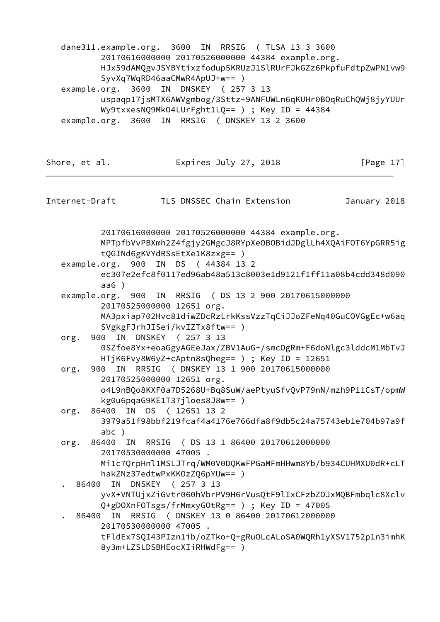dane311.example.org. 3600 IN RRSIG ( TLSA 13 3 3600 20170616000000 20170526000000 44384 example.org. HJx59dAMQgvJSYBYtixzfodup5KRUzJ1SlRUrFJkGZz6PkpfuFdtpZwPN1vw9 SyvXq7WqRD46aaCMwR4ApUJ+w== ) example.org. 3600 IN DNSKEY ( 257 3 13 uspaqp17jsMTX6AWVgmbog/3Sttz+9ANFUWLn6qKUHr0BOqRuChQWj8jyYUUr Wy9txxesNQ9MkO4LUrFght1LQ== ) ; Key ID = 44384 example.org. 3600 IN RRSIG ( DNSKEY 13 2 3600

<span id="page-19-0"></span>Shore, et al. **Expires July 27, 2018** [Page 17] Internet-Draft TLS DNSSEC Chain Extension January 2018 20170616000000 20170526000000 44384 example.org. MPTpfbVvPBXmh2Z4fgjy2GMgcJ8RYpXeOBOBidJDglLh4XQAiFOT6YpGRR5ig tQGINd6gKVYdRSsEtXe1K8zxg== ) example.org. 900 IN DS ( 44384 13 2 ec307e2efc8f0117ed96ab48a513c8003e1d9121f1ff11a08b4cdd348d090 aa6 ) example.org. 900 IN RRSIG ( DS 13 2 900 20170615000000 20170525000000 12651 org. MA3pxiap702Hvc81diwZDcRzLrkKssVzzTqCiJJoZFeNq40GuCOVGgEc+w6aq SVgkgFJrhJISei/kvIZTx8ftw== ) org. 900 IN DNSKEY ( 257 3 13 0SZfoe8Yx+eoaGgyAGEeJax/ZBV1AuG+/smcOgRm+F6doNlgc3lddcM1MbTvJ HTjK6Fvy8W6yZ+cAptn8sQheg== ) ; Key ID = 12651 org. 900 IN RRSIG ( DNSKEY 13 1 900 20170615000000 20170525000000 12651 org. o4L9nBQo8KXF0a7D5268U+Bq8SuW/aePtyuSfvQvP79nN/mzh9P11CsT/opmW kg0u6pqaG9KE1T37jloes8J8w== ) org. 86400 IN DS ( 12651 13 2 3979a51f98bbf219fcaf4a4176e766dfa8f9db5c24a75743eb1e704b97a9f abc ) org. 86400 IN RRSIG ( DS 13 1 86400 20170612000000 20170530000000 47005 . Mi1c7QrpHnl1MSLJTrq/WM0V0DQKwFPGaMFmHHwm8Yb/b934CUHMXU0dR+cLT hakZNz37edtwPxKKOzZQ6pYUw== ) . 86400 IN DNSKEY ( 257 3 13 yvX+VNTUjxZiGvtr060hVbrPV9H6rVusQtF9lIxCFzbZOJxMQBFmbqlc8Xclv Q+gDOXnFOTsgs/frMmxyGOtRg== ) ; Key ID = 47005 . 86400 IN RRSIG ( DNSKEY 13 0 86400 20170612000000 20170530000000 47005 . tFldEx7SQI43PIzn1ib/oZTko+Q+gRuOLcALoSA0WQRh1yXSV1752p1n3imhK 8y3m+LZSLDSBHEocXIiRHWdFg== )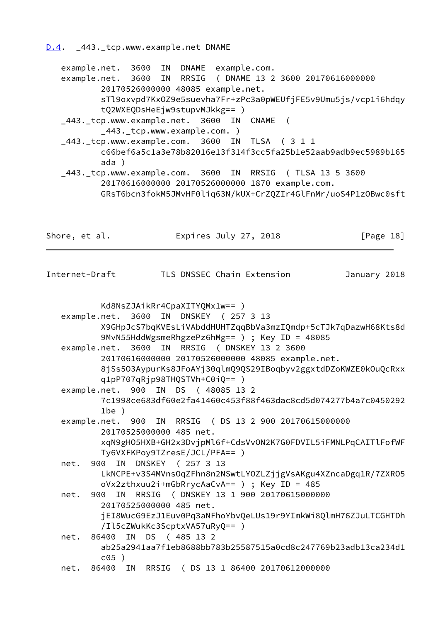<span id="page-20-0"></span> example.net. 3600 IN DNAME example.com. example.net. 3600 IN RRSIG ( DNAME 13 2 3600 20170616000000 20170526000000 48085 example.net. sTl9oxvpd7KxOZ9e5suevha7Fr+zPc3a0pWEUfjFE5v9Umu5js/vcp1i6hdqy tQ2WXEQDsHeEjw9stupvMJkkg== ) \_443.\_tcp.www.example.net. 3600 IN CNAME ( \_443.\_tcp.www.example.com. ) \_443.\_tcp.www.example.com. 3600 IN TLSA ( 3 1 1 c66bef6a5c1a3e78b82016e13f314f3cc5fa25b1e52aab9adb9ec5989b165 ada ) \_443.\_tcp.www.example.com. 3600 IN RRSIG ( TLSA 13 5 3600

 20170616000000 20170526000000 1870 example.com. GRsT6bcn3fokM5JMvHF0liq63N/kUX+CrZQZIr4GlFnMr/uoS4P1zOBwc0sft

Shore, et al. **Expires July 27, 2018** [Page 18]

| Internet-Draft |  |  |
|----------------|--|--|
|----------------|--|--|

TLS DNSSEC Chain Extension January 2018

 Kd8NsZJAikRr4CpaXITYQMx1w== ) example.net. 3600 IN DNSKEY ( 257 3 13 X9GHpJcS7bqKVEsLiVAbddHUHTZqqBbVa3mzIQmdp+5cTJk7qDazwH68Kts8d 9MvN55HddWgsmeRhgzePz6hMg== ) ; Key ID = 48085 example.net. 3600 IN RRSIG ( DNSKEY 13 2 3600 20170616000000 20170526000000 48085 example.net. 8jSs5O3AypurKs8JFoAYj30qlmQ9QS29IBoqbyv2ggxtdDZoKWZE0kOuQcRxx q1pP707qRjp98THQSTVh+C0iQ== ) example.net. 900 IN DS ( 48085 13 2 7c1998ce683df60e2fa41460c453f88f463dac8cd5d074277b4a7c0450292 1be ) example.net. 900 IN RRSIG ( DS 13 2 900 20170615000000 20170525000000 485 net. xqN9gHO5HXB+GH2x3DvjpMl6f+CdsVvON2K7G0FDVIL5iFMNLPqCAITlFofWF Ty6VXFKPoy9TZresE/JCL/PFA== ) net. 900 IN DNSKEY ( 257 3 13 LkNCPE+v3S4MVnsOqZFhn8n2NSwtLYOZLZjjgVsAKgu4XZncaDgq1R/7ZXRO5 oVx2zthxuu2i+mGbRrycAaCvA== ) ; Key ID = 485 net. 900 IN RRSIG ( DNSKEY 13 1 900 20170615000000 20170525000000 485 net. jEI8WucG9EzJ1Euv0Pq3aNFhoYbvQeLUs19r9YImkWi8QlmH76ZJuLTCGHTDh /Il5cZWukKc3ScptxVA57uRyQ== ) net. 86400 IN DS ( 485 13 2 ab25a2941aa7f1eb8688bb783b25587515a0cd8c247769b23adb13ca234d1 c05 ) net. 86400 IN RRSIG ( DS 13 1 86400 20170612000000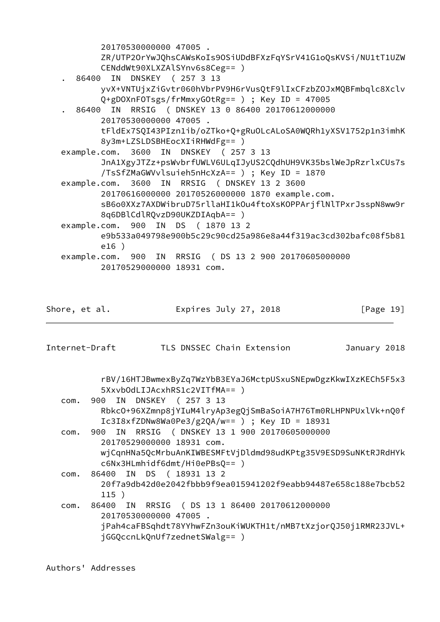20170530000000 47005. ZR/UTP20rYwJQhsCAWsKoIs90SiUDdBFXzFqYSrV41G1oQsKVSi/NU1tT1UZW CENddWt90XLXZAlSYnv6s8Ceg== ) 86400 IN DNSKEY (257 3 13 yvX+VNTUjxZiGvtr060hVbrPV9H6rVusQtF9lIxCFzbZ0JxMQBFmbqlc8Xclv Q+gDOXnFOTsgs/frMmxyGOtRg== ) ; Key ID = 47005 86400 IN RRSIG ( DNSKEY 13 0 86400 20170612000000 20170530000000 47005. tFldEx7SQI43PIzn1ib/oZTko+Q+gRuOLcALoSA0WQRh1yXSV1752p1n3imhK 8y3m+LZSLDSBHEocXIiRHWdFg== ) example.com. 3600 IN DNSKEY (257 3 13 JnA1XgyJTZz+psWvbrfUWLV6ULqIJyUS2CQdhUH9VK35bslWeJpRzrlxCUs7s /TsSfZMaGWVvlsuieh5nHcXzA== ) ; Key ID = 1870 example.com. 3600 IN RRSIG ( DNSKEY 13 2 3600 20170616000000 20170526000000 1870 example.com. sB6o0XXz7AXDWibruD75rllaHI1kOu4ftoXsKOPPArjflNlTPxrJsspN8ww9r 8q6DBlCdlRQvzD90UKZDIAqbA== ) example.com. 900 IN DS (1870 13 2 e9b533a049798e900b5c29c90cd25a986e8a44f319ac3cd302bafc08f5b81  $e16$ ) example.com. 900 IN RRSIG (DS 13 2 900 20170605000000 20170529000000 18931 com. Shore, et al. Expires July 27, 2018  $[Page 19]$ Internet-Draft TLS DNSSEC Chain Extension January 2018 rBV/16HTJBwmexByZq7WzYbB3EYaJ6MctpUSxuSNEpwDgzKkwIXzKECh5F5x3 5XxvbOdLIJAcxhRS1c2VITfMA== ) 900 IN DNSKEY (257 3 13 com. Rbkc0+96XZmnp8jYIuM4lryAp3egQjSmBaSoiA7H76Tm0RLHPNPUxlVk+nQ0f Ic3I8xfZDNw8Wa0Pe3/g2QA/w== ) ; Key ID = 18931 com. 900 IN RRSIG (DNSKEY 13 1 900 20170605000000 20170529000000 18931 com. wjCqnHNa5QcMrbuAnKIWBESMFtVjDldmd98udKPtg35V9ESD9SuNKtRJRdHYk c6Nx3HLmhidf6dmt/Hi0ePBsQ== ) com. 86400 IN DS (18931 13 2 20f7a9db42d0e2042fbbb9f9ea015941202f9eabb94487e658c188e7bcb52  $115)$ com. 86400 IN RRSIG ( DS 13 1 86400 20170612000000 20170530000000 47005. jPah4caFBSqhdt78YYhwFZn3ouKiWUKTH1t/nMB7tXzjorQJ50j1RMR23JVL+ jGGQccnLkQnUf7zednetSWalg== )